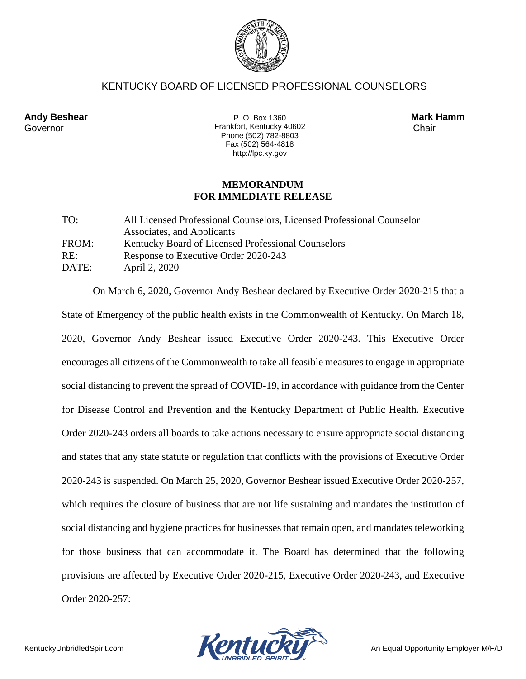

## KENTUCKY BOARD OF LICENSED PROFESSIONAL COUNSELORS

**Andy Beshear Mark Hamm**  Governor Chair **Frankfort, Kentucky 40602** Chair P. O. Box 1360 Phone (502) 782-8803 Fax (502) 564-4818 http://lpc.ky.gov

## **MEMORANDUM FOR IMMEDIATE RELEASE**

| TO:   | All Licensed Professional Counselors, Licensed Professional Counselor |
|-------|-----------------------------------------------------------------------|
|       | Associates, and Applicants                                            |
| FROM: | Kentucky Board of Licensed Professional Counselors                    |
| RE:   | Response to Executive Order 2020-243                                  |
| DATE: | April 2, 2020                                                         |

On March 6, 2020, Governor Andy Beshear declared by Executive Order 2020-215 that a State of Emergency of the public health exists in the Commonwealth of Kentucky. On March 18, 2020, Governor Andy Beshear issued Executive Order 2020-243. This Executive Order encourages all citizens of the Commonwealth to take all feasible measures to engage in appropriate social distancing to prevent the spread of COVID-19, in accordance with guidance from the Center for Disease Control and Prevention and the Kentucky Department of Public Health. Executive Order 2020-243 orders all boards to take actions necessary to ensure appropriate social distancing and states that any state statute or regulation that conflicts with the provisions of Executive Order 2020-243 is suspended. On March 25, 2020, Governor Beshear issued Executive Order 2020-257, which requires the closure of business that are not life sustaining and mandates the institution of social distancing and hygiene practices for businesses that remain open, and mandates teleworking for those business that can accommodate it. The Board has determined that the following provisions are affected by Executive Order 2020-215, Executive Order 2020-243, and Executive Order 2020-257:

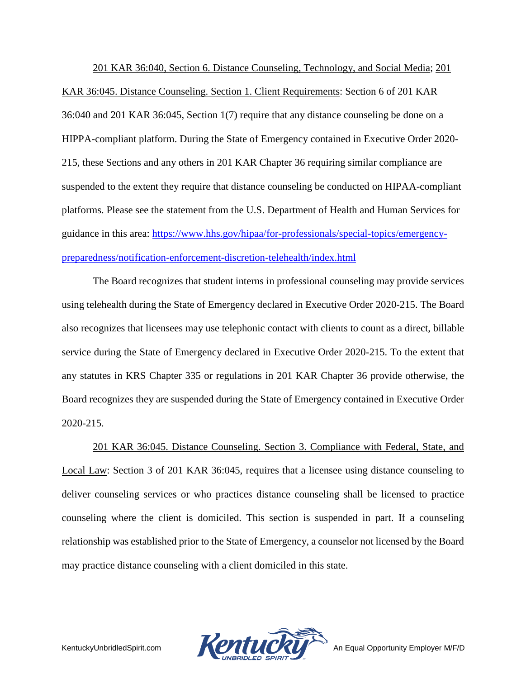201 KAR 36:040, Section 6. Distance Counseling, Technology, and Social Media; 201 KAR 36:045. Distance Counseling. Section 1. Client Requirements: Section 6 of 201 KAR 36:040 and 201 KAR 36:045, Section 1(7) require that any distance counseling be done on a HIPPA-compliant platform. During the State of Emergency contained in Executive Order 2020- 215, these Sections and any others in 201 KAR Chapter 36 requiring similar compliance are suspended to the extent they require that distance counseling be conducted on HIPAA-compliant platforms. Please see the statement from the U.S. Department of Health and Human Services for guidance in this area: [https://www.hhs.gov/hipaa/for-professionals/special-topics/emergency](https://www.hhs.gov/hipaa/for-professionals/special-topics/emergency-preparedness/notification-enforcement-discretion-telehealth/index.html)[preparedness/notification-enforcement-discretion-telehealth/index.html](https://www.hhs.gov/hipaa/for-professionals/special-topics/emergency-preparedness/notification-enforcement-discretion-telehealth/index.html)

The Board recognizes that student interns in professional counseling may provide services using telehealth during the State of Emergency declared in Executive Order 2020-215. The Board also recognizes that licensees may use telephonic contact with clients to count as a direct, billable service during the State of Emergency declared in Executive Order 2020-215. To the extent that any statutes in KRS Chapter 335 or regulations in 201 KAR Chapter 36 provide otherwise, the Board recognizes they are suspended during the State of Emergency contained in Executive Order 2020-215.

201 KAR 36:045. Distance Counseling. Section 3. Compliance with Federal, State, and Local Law: Section 3 of 201 KAR 36:045, requires that a licensee using distance counseling to deliver counseling services or who practices distance counseling shall be licensed to practice counseling where the client is domiciled. This section is suspended in part. If a counseling relationship was established prior to the State of Emergency, a counselor not licensed by the Board may practice distance counseling with a client domiciled in this state.